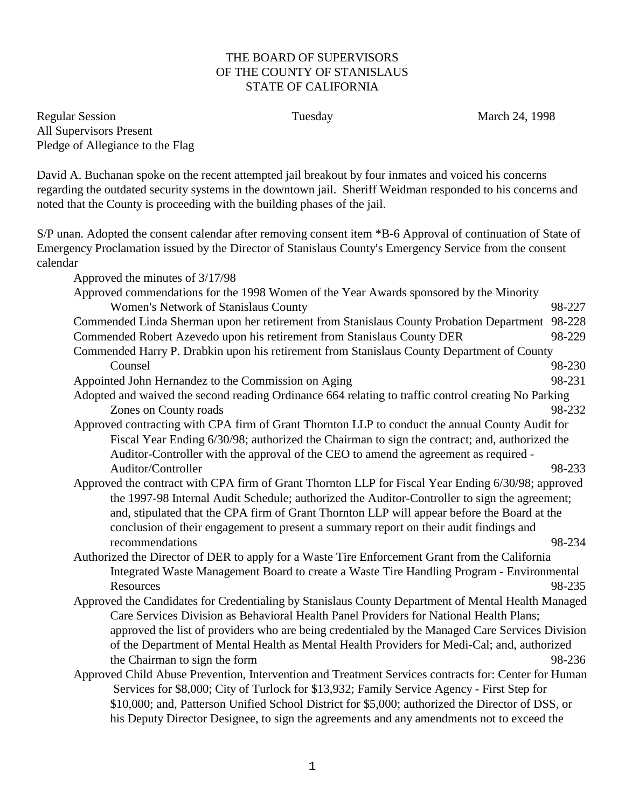## THE BOARD OF SUPERVISORS OF THE COUNTY OF STANISLAUS STATE OF CALIFORNIA

Regular Session **Tuesday** Tuesday March 24, 1998 All Supervisors Present Pledge of Allegiance to the Flag

David A. Buchanan spoke on the recent attempted jail breakout by four inmates and voiced his concerns regarding the outdated security systems in the downtown jail. Sheriff Weidman responded to his concerns and noted that the County is proceeding with the building phases of the jail.

S/P unan. Adopted the consent calendar after removing consent item \*B-6 Approval of continuation of State of Emergency Proclamation issued by the Director of Stanislaus County's Emergency Service from the consent calendar

Approved the minutes of 3/17/98 Approved commendations for the 1998 Women of the Year Awards sponsored by the Minority Women's Network of Stanislaus County 198-227 Commended Linda Sherman upon her retirement from Stanislaus County Probation Department 98-228 Commended Robert Azevedo upon his retirement from Stanislaus County DER 98-229 Commended Harry P. Drabkin upon his retirement from Stanislaus County Department of County Counsel 98-230 Appointed John Hernandez to the Commission on Aging 98-231 Adopted and waived the second reading Ordinance 664 relating to traffic control creating No Parking Zones on County roads 98-232 Approved contracting with CPA firm of Grant Thornton LLP to conduct the annual County Audit for Fiscal Year Ending 6/30/98; authorized the Chairman to sign the contract; and, authorized the Auditor-Controller with the approval of the CEO to amend the agreement as required - Auditor/Controller 98-233 Approved the contract with CPA firm of Grant Thornton LLP for Fiscal Year Ending 6/30/98; approved the 1997-98 Internal Audit Schedule; authorized the Auditor-Controller to sign the agreement; and, stipulated that the CPA firm of Grant Thornton LLP will appear before the Board at the conclusion of their engagement to present a summary report on their audit findings and recommendations 98-234 Authorized the Director of DER to apply for a Waste Tire Enforcement Grant from the California Integrated Waste Management Board to create a Waste Tire Handling Program - Environmental Resources 98-235 Approved the Candidates for Credentialing by Stanislaus County Department of Mental Health Managed Care Services Division as Behavioral Health Panel Providers for National Health Plans; approved the list of providers who are being credentialed by the Managed Care Services Division of the Department of Mental Health as Mental Health Providers for Medi-Cal; and, authorized the Chairman to sign the form 98-236 Approved Child Abuse Prevention, Intervention and Treatment Services contracts for: Center for Human Services for \$8,000; City of Turlock for \$13,932; Family Service Agency - First Step for \$10,000; and, Patterson Unified School District for \$5,000; authorized the Director of DSS, or his Deputy Director Designee, to sign the agreements and any amendments not to exceed the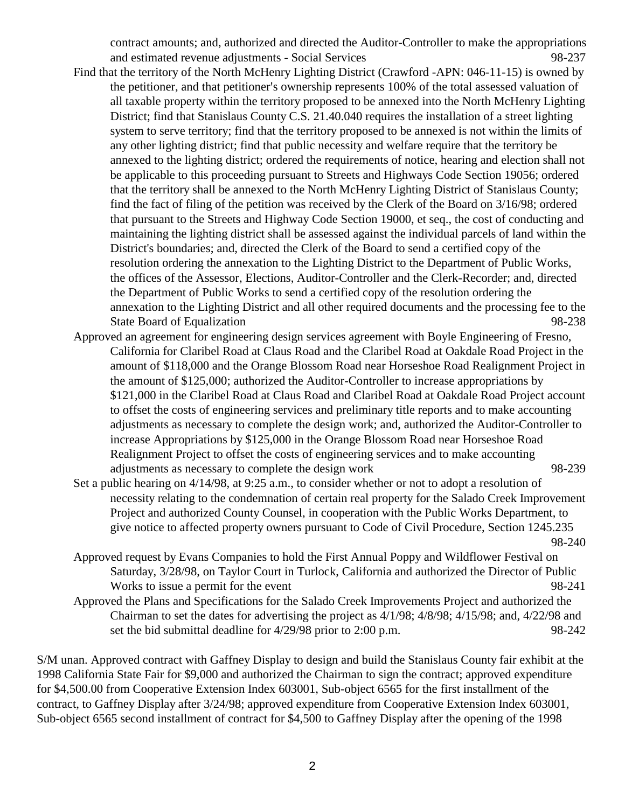contract amounts; and, authorized and directed the Auditor-Controller to make the appropriations and estimated revenue adjustments - Social Services 98-237

- Find that the territory of the North McHenry Lighting District (Crawford -APN: 046-11-15) is owned by the petitioner, and that petitioner's ownership represents 100% of the total assessed valuation of all taxable property within the territory proposed to be annexed into the North McHenry Lighting District; find that Stanislaus County C.S. 21.40.040 requires the installation of a street lighting system to serve territory; find that the territory proposed to be annexed is not within the limits of any other lighting district; find that public necessity and welfare require that the territory be annexed to the lighting district; ordered the requirements of notice, hearing and election shall not be applicable to this proceeding pursuant to Streets and Highways Code Section 19056; ordered that the territory shall be annexed to the North McHenry Lighting District of Stanislaus County; find the fact of filing of the petition was received by the Clerk of the Board on 3/16/98; ordered that pursuant to the Streets and Highway Code Section 19000, et seq., the cost of conducting and maintaining the lighting district shall be assessed against the individual parcels of land within the District's boundaries; and, directed the Clerk of the Board to send a certified copy of the resolution ordering the annexation to the Lighting District to the Department of Public Works, the offices of the Assessor, Elections, Auditor-Controller and the Clerk-Recorder; and, directed the Department of Public Works to send a certified copy of the resolution ordering the annexation to the Lighting District and all other required documents and the processing fee to the State Board of Equalization 98-238
- Approved an agreement for engineering design services agreement with Boyle Engineering of Fresno, California for Claribel Road at Claus Road and the Claribel Road at Oakdale Road Project in the amount of \$118,000 and the Orange Blossom Road near Horseshoe Road Realignment Project in the amount of \$125,000; authorized the Auditor-Controller to increase appropriations by \$121,000 in the Claribel Road at Claus Road and Claribel Road at Oakdale Road Project account to offset the costs of engineering services and preliminary title reports and to make accounting adjustments as necessary to complete the design work; and, authorized the Auditor-Controller to increase Appropriations by \$125,000 in the Orange Blossom Road near Horseshoe Road Realignment Project to offset the costs of engineering services and to make accounting adjustments as necessary to complete the design work 98-239
- Set a public hearing on 4/14/98, at 9:25 a.m., to consider whether or not to adopt a resolution of necessity relating to the condemnation of certain real property for the Salado Creek Improvement Project and authorized County Counsel, in cooperation with the Public Works Department, to give notice to affected property owners pursuant to Code of Civil Procedure, Section 1245.235 98-240
- Approved request by Evans Companies to hold the First Annual Poppy and Wildflower Festival on Saturday, 3/28/98, on Taylor Court in Turlock, California and authorized the Director of Public Works to issue a permit for the event 98-241
- Approved the Plans and Specifications for the Salado Creek Improvements Project and authorized the Chairman to set the dates for advertising the project as 4/1/98; 4/8/98; 4/15/98; and, 4/22/98 and set the bid submittal deadline for  $4/29/98$  prior to 2:00 p.m. 98-242

S/M unan. Approved contract with Gaffney Display to design and build the Stanislaus County fair exhibit at the 1998 California State Fair for \$9,000 and authorized the Chairman to sign the contract; approved expenditure for \$4,500.00 from Cooperative Extension Index 603001, Sub-object 6565 for the first installment of the contract, to Gaffney Display after 3/24/98; approved expenditure from Cooperative Extension Index 603001, Sub-object 6565 second installment of contract for \$4,500 to Gaffney Display after the opening of the 1998